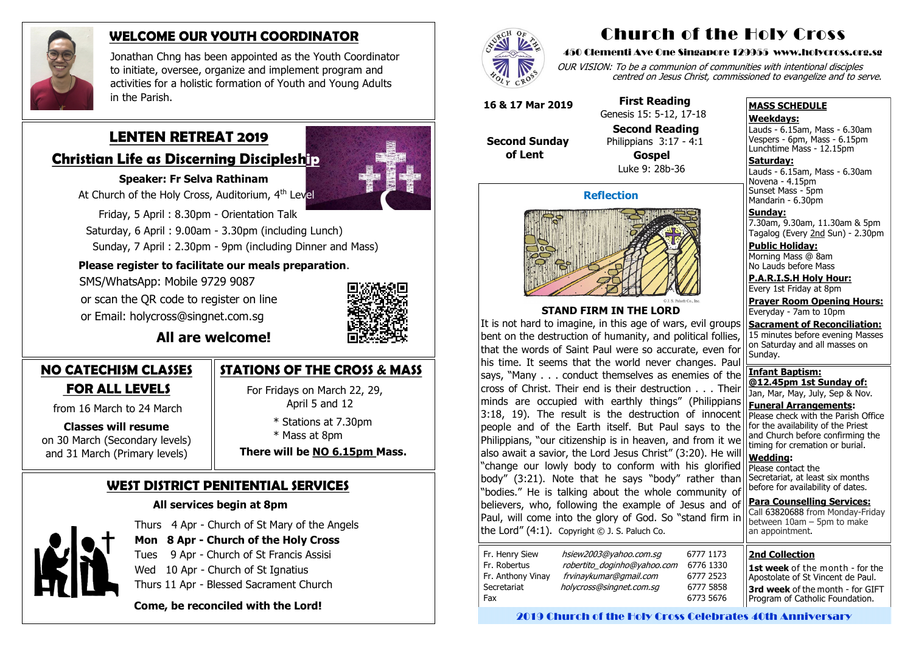# **LENTEN RETREAT 2019**

# **Christian Life as Discerning Discipleship**

## **Speaker: Fr Selva Rathinam**

At Church of the Holy Cross, Auditorium, 4<sup>th</sup> Level

 Friday, 5 April : 8.30pm - Orientation Talk Saturday, 6 April : 9.00am - 3.30pm (including Lunch) Sunday, 7 April : 2.30pm - 9pm (including Dinner and Mass)

# **Please register to facilitate our meals preparation**.

 SMS/WhatsApp: Mobile 9729 9087 or scan the QR code to register on line

or Email: holycross@singnet.com.sg



# **All are welcome!**

# **NO CATECHISM CLASSES FOR ALL LEVELS**

from 16 March to 24 March

# **Classes will resume**

on 30 March (Secondary levels) and 31 March (Primary levels)

# **WEST DISTRICT PENITENTIAL SERVICES**

# **All services begin at 8pm**



Thurs 4 Apr - Church of St Mary of the Angels

**Mon 8 Apr - Church of the Holy Cross**

Tues 9 Apr - Church of St Francis Assisi

Wed 10 Apr - Church of St Ignatius

Thurs 11 Apr - Blessed Sacrament Church

 **Come, be reconciled with the Lord!**



Novena - 4.15pm Sunset Mass - 5pm Mandarin - 6.30pm

# **STATIONS OF THE CROSS & MASS**

 For Fridays on March 22, 29, April 5 and 12

> \* Stations at 7.30pm \* Mass at 8pm

**There will be NO 6.15pm Mass.**

**Sacrament of Reconciliation:** 15 minutes before evening Masses on Saturday and all masses on Sunday. **Infant Baptism: @12.45pm 1st Sunday of:** Jan, Mar, May, July, Sep & Nov. **Funeral Arrangements:**  Please check with the Parish Office for the availability of the Priest and Church before confirming the timing for cremation or burial. **Wedding:**  Please contact the Secretariat, at least six months before for availability of dates. **Para Counselling Services:** Call [63820688](tel:+6563820688) from Monday-Friday between 10am – 5pm to make an appointment. It is not hard to imagine, in this age of wars, evil groups bent on the destruction of humanity, and political follies, that the words of Saint Paul were so accurate, even for his time. It seems that the world never changes. Paul says, "Many . . . conduct themselves as enemies of the cross of Christ. Their end is their destruction . . . Their minds are occupied with earthly things" (Philippians 3:18, 19). The result is the destruction of innocent people and of the Earth itself. But Paul says to the Philippians, "our citizenship is in heaven, and from it we also await a savior, the Lord Jesus Christ" (3:20). He will "change our lowly body to conform with his glorified body" (3:21). Note that he says "body" rather than "bodies." He is talking about the whole community of believers, who, following the example of Jesus and of Paul, will come into the glory of God. So "stand firm in the Lord"  $(4:1)$ . Copyright  $\odot$  J. S. Paluch Co.

| Fr. Henry Siew<br>Fr. Robertus<br>Fr. Anthony Vinay<br>Secretariat | hsiew2003@yahoo.com.sg<br>robertito_doginho@yahoo.com<br>frvinaykumar@gmail.com<br>holycross@singnet.com.sq |  |
|--------------------------------------------------------------------|-------------------------------------------------------------------------------------------------------------|--|
| Fax                                                                |                                                                                                             |  |
|                                                                    |                                                                                                             |  |



# **WELCOME OUR YOUTH COORDINATOR**

Jonathan Chng has been appointed as the Youth Coordinator to initiate, oversee, organize and implement program and activities for a holistic formation of Youth and Young Adults in the Parish.

# Church of the Holy Cross

#### 450 Clementi Ave One Singapore 129955 www.holycross.org.sg

OUR VISION: To be a communion of communities with intentional disciples centred on Jesus Christ, commissioned to evangelize and to serve.

#### **MASS SCHEDULE**

#### **Weekdays:**

Lauds - 6.15am, Mass - 6.30am Vespers - 6pm, Mass - 6.15pm Lunchtime Mass - 12.15pm

**Saturday:** Lauds - 6.15am, Mass - 6.30am

**Sunday:** 7.30am, 9.30am, 11.30am & 5pm Tagalog (Every 2nd Sun) - 2.30pm

**Public Holiday:**  Morning Mass @ 8am No Lauds before Mass

**P.A.R.I.S.H Holy Hour:** Every 1st Friday at 8pm

**Prayer Room Opening Hours:** Everyday - 7am to 10pm

#### **Reflection**



#### **STAND FIRM IN THE LORD**

**16 & 17 Mar 2019**

 **Second Sunday of Lent**

 **First Reading** Genesis 15: 5-12, 17-18

**Second Reading**



 Philippians 3:17 - 4:1 **Gospel** Luke 9: 28b-36

#### **2nd Collection**

**1st week** of the month - for the Apostolate of St Vincent de Paul.

**3rd week** of the month - for GIFT Program of Catholic Foundation.

2019 Church of the Holy Cross Celebrates 40th Anniversary